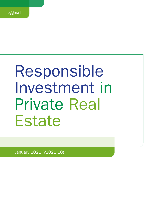# Responsible Investment in Private Real **Estate**

January 2021 (v2021.10)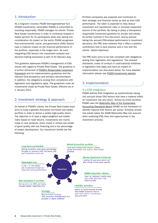# 1. Introduction

As a long-term investor, PGGM Vermogensbeheer B.V. (PGGM Investments, hereinafter PGGM) is committed to investing responsibly. PGGM manages its clients' Private Real Estate investments in order to contribute towards a stable pension for its participants while also taking into consideration its impact on the world. PGGM recognizes that environmental, social, and governance (ESG) factors have a material impact on the financial performance of the portfolio, especially in the longer term. As such, integrating ESG factors into investment analysis and decision-making processes is part of its fiduciary duty.

This guideline addresses PGGM's management of ESG issues with regard to Private Real Estate. The guideline is a further refinement of [PGGM's Responsible Investment](https://www.pggm.nl/media/f4zoxray/responsible-investment-implementation-framework_pggm.pdf) [Framework](https://www.pggm.nl/media/f4zoxray/responsible-investment-implementation-framework_pggm.pdf) and its implementation guidelines and the relevant fund prospectus and ancillary documentation. In addition, the obligations arising from compliance with legislation and regulations apply. The guidelines cover all investments made by Private Real Estate, effective as of 1 January 2021.

# 2. Investment strategy & approach

On behalf of PGGM's clients, the Private Real Estate team aims to build a globally diversified non-listed real estate portfolio in order to deliver a stable high-quality return. The objective is to beat a region-weighted real estate index based on total returns. Investments are mainly made in core products, which invest in rented real estate of good quality, with low financing and a low percentage of project development. Our investment beliefs are the following:

Portfolio companies are analysed and monitored on their strategic and financial merits as well as their ESG performance. The latter is expected to help reduce investment and reputational risks or increase (expected) returns of the portfolio. By having in place a transparent responsible investment guideline for private real estate, as further outlined in this document, and by actively taking into account ESG-related performance in investment decisions, the PRE team believes that it offers a positive contribution that is best practice and in line with the clients' stated objectives.

The PRE team aims to be fully compliant with obligations arising from legislation and regulations. The relevant standards, codes of conduct or (inter)national initiatives or legislation that apply and have an impact on implementation are discussed below. For more detailed information please see [PGGM Investments website.](https://www.pggm.nl/en/our-services/transparency-reports-and-policy-documents/)

# 3. Implementation

## 3.a ESG-integration

PGGM defines ESG integration as systematically taking into account those ESG factors that have a material effect on investment risk and return. Across its entire portfolio PGGM uses the [Materiality Map of the Sustainable](https://www.sasb.org/standards-overview/materiality-map/)  [Accounting Standards Board](https://www.sasb.org/standards-overview/materiality-map/) (SASB) as the framework to identify material ESG factors per sector. Similarly, private real estate takes the SASB Materiality Map into account when analysing ESG risks and opportunities in the investment process.

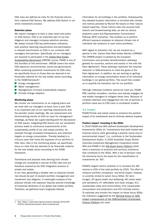ESG risks are defined as risks for the financial returns from material ESG factors. We address ESG factors in our entire investment process:

## Selection phase

We require managers to have a clear vision and policy on ESG factors. ESG is an important part of our due diligence and manager/company selection process. We always include ESG key performance indicators, best practice reporting requirements and participation in relevant benchmarks on ESG in our contracts with managers and partners. Specifically, all our managers are required to participate in the [Global Real Estate](https://gresb.com/)  [Sustainability Benchmark](https://gresb.com/) (GRESB) survey. PGGM is one of the founders of this benchmark. GRESB covers the entire ESG spectrum (environmental, social and governance). When screening (potential) investments for ESG risks, we specifically focus on those that are deemed to be financially material for the real estate sector according to the SASB-framework<sup>1</sup>:

- m. Energy management;
- **Water management;**
- Management of tenant sustainability impacts;
- **D** Climate change adaption.

## Monitoring phase

We monitor our investments on an ongoing basis and we meet with our managers at least once a year. ESG is an important part of our reporting requirements and the periodic review meetings. We use assessment and benchmarking results on ESG as input for management meetings, as these are a good starting point for discussions on ESG issues. Integrating ESG factors into our investment process leads to continuous improvements of the sustainability profile of our real estate portfolio, for example through increased transparency and reduction targets on energy consumption. Thereby leading to a virtuous cycle that limits the exposure of our portfolio to ESG risks. Also in the monitoring phase, we specifically focus on risks that are deemed to be financially material for the real estate sector according to the SASBframework.

Transitional and physical risks deriving from climate change are considered a sub-set of ESG risks and are therefore covered by the ESG integration process of private real estate.

In our view, generating a reliable view on physical climate risk should be part of prudent portfolio management and investment due diligence. A meaningful analysis of the physical climate risk exposure requires precise knowledge of locational attributes of our global real estate portfolio. Therefore, we gathered exact longitude/latitude

information for all buildings in the portfolio. Subsequently, this detailed location information is enriched with climate risk metrics provided by Munich Re based on their natural hazard expertise. These metrics take into account both historic and forward-looking data, as well as various projection years and Representative Concentration Pathway (RCP) scenarios. This enables us to perform efficient exposure analyses on physical climate risk of individual risk locations or even entire portfolios.

With regard to transition risk, we are involved as a partner in the 'Carbon Risk Real Estate Monitor (CRREM)'. The CRREM project is backed by the European Commission and provides decarbonisation pathways globally for countries, sectors and assets in line with the Paris Agreement. These pathways represent the required reduction in GHG-emissions to meet the goals of the Paris Agreement. In addition, we are working on getting information on energy consumption levels of all individual buildings in our global portfolio. This would then enable us to quantify the transition risk for our portfolio.

Although individual incidents cannot be ruled out, PGGM PRE carefully considers, monitors and actively engages its real estate managers to mitigate these risks. Because of constant attention and engagement the risk of declines in portfolio value due to ESG risks is considered modest.

## 3.b Impact

PGGM Private real estate seeks to enhance the positive impact of its investments and to minimize adverse impacts.

#### Positive impact: investing in the SDGs

In 2016 PGGM and APG defined Sustainable Development Investments (SDIs) as "investments that yield market-rate financial returns while generating a positive social and/or environmental impact" (i.e. contribute to the Sustainable Development Goals). In 2020 Australian Super, British Colombia Investment Management Corporation joined APG and PGGM in the [SDI-Asset Owner Platform](https://www.sdi-aop.org/) which owns a taxonomy of products and services (solutions) that contribute to the SDGs. With a set of decision rules the taxonomy forms the basis for the classification of investments as 'SDI'.

PGGM's largest client's ambition is to increase the SDI volume to 20% of the total portfolio by 2025. The effort to measure portfolio companies' real-world impact, however, is currently limited to seven focus SDGs: #2 (zero hunger), #3 (good health and wellbeing), #6 (clean water and sanitation), #7 (affordable and clean energy), #11 (sustainable cities and communities), #12 (responsible consumption and production) and #13 (climate action). To estimate and monitor the impact on these focus SDGs, the indicators suggested by the [Working Group on SDG](https://www.dnb.nl/en/green-economy/sustainable-finance-platform/sdg-impact-assessment-working-group/)  [impact measurement of the DNB-facilitated Sustainable](https://www.dnb.nl/en/green-economy/sustainable-finance-platform/sdg-impact-assessment-working-group/)  [Finance Platform](https://www.dnb.nl/en/green-economy/sustainable-finance-platform/sdg-impact-assessment-working-group/) are used.

<sup>1</sup> See: https://www.sasb.org/wp-content/uploads/2019/08/ IF0402\_Real-Estate-Owners\_Brief-combined.pdf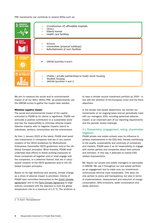PRE investments can contribute to several SDGs such as:



We aim to measure the social and/or environmental impact of all our SDI's. Within PRE, we predominantly use the GRESB survey to gather the impact data needed.

### Minimise negative impact

The social and environmental impact of the capital entrusted to PGGM by its clients is significant. PGGM can stimulate a positive contribution to a sustainable world and has the responsibility to minimise adverse impact. Adverse impacts refer to negative impacts (harm) to individuals, workers, communities and the environment.

As from 1 January 2022 at the latest, PGGM shall avoid new investments in companies that are in very severe violation of the OECD Guidelines for Multinational Enterprises (hereinafter OECD guidelines) and/or the UN Global Compact principles. When feasible, PGGM shall undertake best efforts to divest existing exposures to these companies all together and/or shall engage with the companies, or a selection thereof, that are in (very) severe violation of the OECD guidelines and/or the UN Global Compact principles.

Based on its high likelihood and severity, climate change as a driver of adverse impact is prioritized. Clients of PGGM have committed themselves to the [Dutch Climate](https://www.klimaatakkoord.nl/documenten/publicaties/2019/06/28/national-climate-agreement-the-netherlands)  [agreement](https://www.klimaatakkoord.nl/documenten/publicaties/2019/06/28/national-climate-agreement-the-netherlands)<sup>2</sup> and to the [Paris Climate Agreement](https://unfccc.int/sites/default/files/english_paris_agreement.pdf) to align policies consistent with the objective to limit the global temperature rise to a maximum of 1.5 °C. The ambition is to have a climate neutral investment portfolio by 2050 - in line with the ambition of the European Union and the Paris objectives.

In the private real estate department, we monitor our investments on an ongoing basis and we periodically meet with our managers. ESG, including (potential) adverse impact, is an important part of our reporting requirements and the periodic review meetings.

# 3.c Stewardship (engagement, voting, shareholder litigation)

PGGM private real estate actively uses its influence to achieve improvements in the ESG field, thereby contributing to the quality, sustainability and continuity of companies and markets. PGGM sees it as its responsibility to engage with market parties and companies about their policies and activities. In this way, it attempts to realise ESGrelated improvements.

We require our private real estate managers to participate in GRESB. We use it throughout our real estate portfolio as an engagement tool to make sure our investments continuously become more sustainable. This does not only pertain to policy and transparency, but also in terms of implementation, measurement and reduction of energy consumption, GHG emissions, water consumption and waste diversion.

<sup>2</sup> In Dutch "Klimaatakkoord"